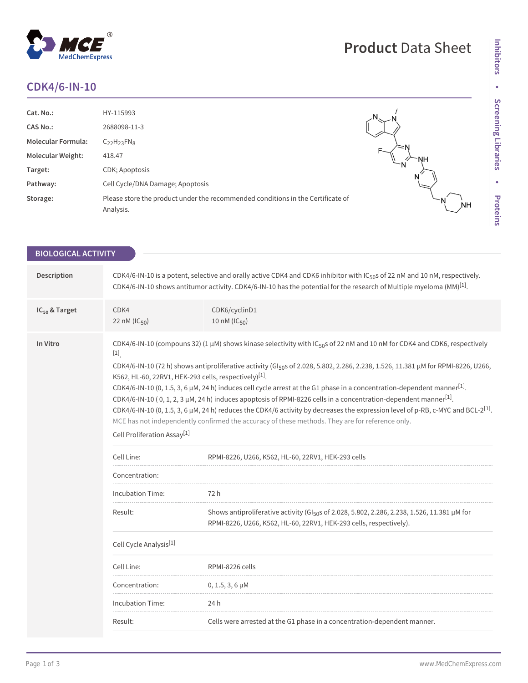# **CDK4/6-IN-10**

 $^\circledR$ 

MedChemExpress

| Cat. No.:                 | HY-115993                                                                                    |           |
|---------------------------|----------------------------------------------------------------------------------------------|-----------|
| <b>CAS No.:</b>           | 2688098-11-3                                                                                 |           |
| <b>Molecular Formula:</b> | $C_{22}H_{23}FN_8$                                                                           |           |
| <b>Molecular Weight:</b>  | 418.47                                                                                       | 'NH       |
| Target:                   | CDK; Apoptosis                                                                               | N         |
| Pathway:                  | Cell Cycle/DNA Damage; Apoptosis                                                             | N         |
| Storage:                  | Please store the product under the recommended conditions in the Certificate of<br>Analysis. | <b>NH</b> |

**Inhibitors**

Inhibitors

**Screening Libraries**

**•**

**Proteins**

**Product** Data Sheet

| <b>BIOLOGICAL ACTIVITY</b> |                                                                                                                                                                                                                                                                                                                                                                                                                                                                                                                                                                                                                                                                                                                                                                                                                                                                                                                                                     |                                                                                                                                                                                |  |  |  |
|----------------------------|-----------------------------------------------------------------------------------------------------------------------------------------------------------------------------------------------------------------------------------------------------------------------------------------------------------------------------------------------------------------------------------------------------------------------------------------------------------------------------------------------------------------------------------------------------------------------------------------------------------------------------------------------------------------------------------------------------------------------------------------------------------------------------------------------------------------------------------------------------------------------------------------------------------------------------------------------------|--------------------------------------------------------------------------------------------------------------------------------------------------------------------------------|--|--|--|
| Description                | CDK4/6-IN-10 is a potent, selective and orally active CDK4 and CDK6 inhibitor with IC <sub>50</sub> s of 22 nM and 10 nM, respectively.<br>CDK4/6-IN-10 shows antitumor activity. CDK4/6-IN-10 has the potential for the research of Multiple myeloma (MM) <sup>[1]</sup> .                                                                                                                                                                                                                                                                                                                                                                                                                                                                                                                                                                                                                                                                         |                                                                                                                                                                                |  |  |  |
| IC <sub>50</sub> & Target  | CDK4<br>CDK6/cyclinD1<br>22 nM (IC <sub>50</sub> )<br>10 nM (IC <sub>50</sub> )                                                                                                                                                                                                                                                                                                                                                                                                                                                                                                                                                                                                                                                                                                                                                                                                                                                                     |                                                                                                                                                                                |  |  |  |
| In Vitro                   | CDK4/6-IN-10 (compouns 32) (1 µM) shows kinase selectivity with IC <sub>50</sub> s of 22 nM and 10 nM for CDK4 and CDK6, respectively<br>$[1]$<br>CDK4/6-IN-10 (72 h) shows antiproliferative activity (GI <sub>50</sub> s of 2.028, 5.802, 2.286, 2.238, 1.526, 11.381 µM for RPMI-8226, U266,<br>K562, HL-60, 22RV1, HEK-293 cells, respectively) <sup>[1]</sup> .<br>CDK4/6-IN-10 (0, 1.5, 3, 6 $\mu$ M, 24 h) induces cell cycle arrest at the G1 phase in a concentration-dependent manner <sup>[1]</sup> .<br>CDK4/6-IN-10 (0, 1, 2, 3 $\mu$ M, 24 h) induces apoptosis of RPMI-8226 cells in a concentration-dependent manner <sup>[1]</sup> .<br>CDK4/6-IN-10 (0, 1.5, 3, 6 µM, 24 h) reduces the CDK4/6 activity by decreases the expression level of p-RB, c-MYC and BCL-2 <sup>[1]</sup> .<br>MCE has not independently confirmed the accuracy of these methods. They are for reference only.<br>Cell Proliferation Assay <sup>[1]</sup> |                                                                                                                                                                                |  |  |  |
|                            | Cell Line:                                                                                                                                                                                                                                                                                                                                                                                                                                                                                                                                                                                                                                                                                                                                                                                                                                                                                                                                          | RPMI-8226, U266, K562, HL-60, 22RV1, HEK-293 cells                                                                                                                             |  |  |  |
|                            | Concentration:                                                                                                                                                                                                                                                                                                                                                                                                                                                                                                                                                                                                                                                                                                                                                                                                                                                                                                                                      |                                                                                                                                                                                |  |  |  |
|                            | Incubation Time:<br>72 h                                                                                                                                                                                                                                                                                                                                                                                                                                                                                                                                                                                                                                                                                                                                                                                                                                                                                                                            |                                                                                                                                                                                |  |  |  |
|                            | Result:                                                                                                                                                                                                                                                                                                                                                                                                                                                                                                                                                                                                                                                                                                                                                                                                                                                                                                                                             | Shows antiproliferative activity (GI <sub>50</sub> s of 2.028, 5.802, 2.286, 2.238, 1.526, 11.381 µM for<br>RPMI-8226, U266, K562, HL-60, 22RV1, HEK-293 cells, respectively). |  |  |  |
|                            | Cell Cycle Analysis <sup>[1]</sup>                                                                                                                                                                                                                                                                                                                                                                                                                                                                                                                                                                                                                                                                                                                                                                                                                                                                                                                  |                                                                                                                                                                                |  |  |  |
|                            | Cell Line:<br>RPMI-8226 cells                                                                                                                                                                                                                                                                                                                                                                                                                                                                                                                                                                                                                                                                                                                                                                                                                                                                                                                       |                                                                                                                                                                                |  |  |  |
|                            | Concentration:                                                                                                                                                                                                                                                                                                                                                                                                                                                                                                                                                                                                                                                                                                                                                                                                                                                                                                                                      | $0, 1.5, 3, 6 \mu M$                                                                                                                                                           |  |  |  |
|                            | Incubation Time:<br>24 h                                                                                                                                                                                                                                                                                                                                                                                                                                                                                                                                                                                                                                                                                                                                                                                                                                                                                                                            |                                                                                                                                                                                |  |  |  |
|                            | Result:                                                                                                                                                                                                                                                                                                                                                                                                                                                                                                                                                                                                                                                                                                                                                                                                                                                                                                                                             | Cells were arrested at the G1 phase in a concentration-dependent manner.                                                                                                       |  |  |  |
|                            |                                                                                                                                                                                                                                                                                                                                                                                                                                                                                                                                                                                                                                                                                                                                                                                                                                                                                                                                                     |                                                                                                                                                                                |  |  |  |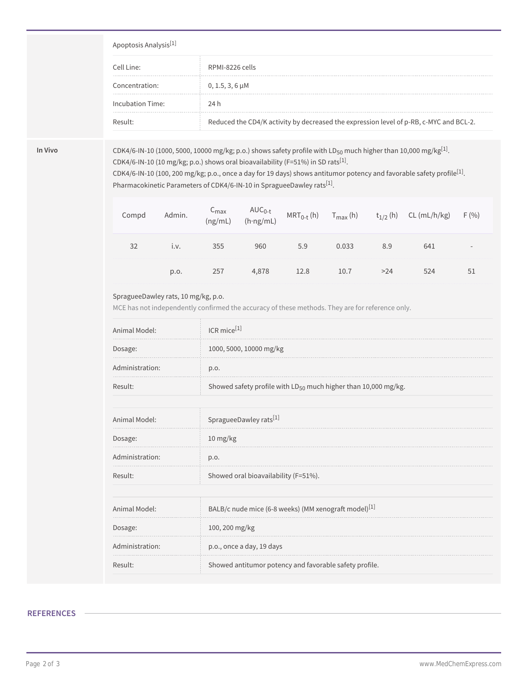#### Apoptosis Analysis[1]

| Cell Line:       | RPMI-8226 cells                                                                        |
|------------------|----------------------------------------------------------------------------------------|
| Concentration:   | $0, 1.5, 3, 6 \mu M$                                                                   |
| Incubation Time: | 24 h                                                                                   |
| Result:          | Reduced the CD4/K activity by decreased the expression level of p-RB, c-MYC and BCL-2. |

**In Vivo** CDK4/6-IN-10 (1000, 5000, 10000 mg/kg; p.o.) shows safety profile with LD50 much higher than 10,000 mg/kg[1] . CDK4/6-IN-10 (10 mg/kg; p.o.) shows oral bioavailability (F=51%) in SD rats<sup>[1]</sup>.

CDK4/6-IN-10 (100, 200 mg/kg; p.o., once a day for 19 days) shows antitumor potency and favorable safety profile $^{[1]}$ . Pharmacokinetic Parameters of CDK4/6-IN-10 in SpragueeDawley rats<sup>[1]</sup>.

| Compd | Admin. |     | $C_{\text{max}}$ $AUC_{0-t}$<br>(ng/mL) (h·ng/mL) |     | $MRT_{0-t}$ (h) $T_{max}$ (h) $t_{1/2}$ (h) |     | $CL$ (mL/h/kg) | F(% )  |
|-------|--------|-----|---------------------------------------------------|-----|---------------------------------------------|-----|----------------|--------|
|       | I.V.   | 355 | 960                                               | 5.9 | 0.033                                       | 8.9 | 641            | $\sim$ |
|       | p.o.   | 257 | 4,878                                             |     |                                             |     |                | 51     |

### SpragueeDawley rats, 10 mg/kg, p.o.

MCE has not independently confirmed the accuracy of these methods. They are for reference only.

| Animal Model:   | $ICR$ mice $[1]$                                                    |
|-----------------|---------------------------------------------------------------------|
| Dosage:         | 1000, 5000, 10000 mg/kg                                             |
| Administration: | p.o.                                                                |
| Result:         | Showed safety profile with $LD_{50}$ much higher than 10,000 mg/kg. |
|                 |                                                                     |

| Animal Model:   | SpragueeDawley rats[1]                                           |  |
|-----------------|------------------------------------------------------------------|--|
| Dosage:         | $10 \frac{\text{mg}}{\text{kg}}$                                 |  |
| Administration: | p.o.                                                             |  |
| Result:         | Showed oral bioavailability (F=51%).                             |  |
|                 |                                                                  |  |
| Animal Model:   | BALB/c nude mice (6-8 weeks) (MM xenograft model) <sup>[1]</sup> |  |
| Dosage:         | 100, 200 mg/kg                                                   |  |
| Administration: | p.o., once a day, 19 days                                        |  |
| Result:         | Showed antitumor potency and favorable safety profile.           |  |

## **REFERENCES**